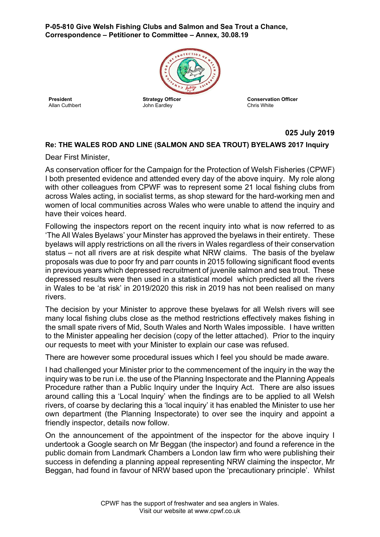**P-05-810 Give Welsh Fishing Clubs and Salmon and Sea Trout a Chance, Correspondence – Petitioner to Committee – Annex, 30.08.19**



**President** Allan Cuthbert **Strategy Officer** John Eardley

**Conservation Officer** Chris White

## **025 July 2019**

## **Re: THE WALES ROD AND LINE (SALMON AND SEA TROUT) BYELAWS 2017 Inquiry**

Dear First Minister,

As conservation officer for the Campaign for the Protection of Welsh Fisheries (CPWF) I both presented evidence and attended every day of the above inquiry. My role along with other colleagues from CPWF was to represent some 21 local fishing clubs from across Wales acting, in socialist terms, as shop steward for the hard-working men and women of local communities across Wales who were unable to attend the inquiry and have their voices heard.

Following the inspectors report on the recent inquiry into what is now referred to as 'The All Wales Byelaws' your Minster has approved the byelaws in their entirety. These byelaws will apply restrictions on all the rivers in Wales regardless of their conservation status – not all rivers are at risk despite what NRW claims. The basis of the byelaw proposals was due to poor fry and parr counts in 2015 following significant flood events in previous years which depressed recruitment of juvenile salmon and sea trout. These depressed results were then used in a statistical model which predicted all the rivers in Wales to be 'at risk' in 2019/2020 this risk in 2019 has not been realised on many rivers.

The decision by your Minister to approve these byelaws for all Welsh rivers will see many local fishing clubs close as the method restrictions effectively makes fishing in the small spate rivers of Mid, South Wales and North Wales impossible. I have written to the Minister appealing her decision (copy of the letter attached). Prior to the inquiry our requests to meet with your Minister to explain our case was refused.

There are however some procedural issues which I feel you should be made aware.

I had challenged your Minister prior to the commencement of the inquiry in the way the inquiry was to be run i.e. the use of the Planning Inspectorate and the Planning Appeals Procedure rather than a Public Inquiry under the Inquiry Act. There are also issues around calling this a 'Local Inquiry' when the findings are to be applied to all Welsh rivers, of coarse by declaring this a 'local inquiry' it has enabled the Minister to use her own department (the Planning Inspectorate) to over see the inquiry and appoint a friendly inspector, details now follow.

On the announcement of the appointment of the inspector for the above inquiry I undertook a Google search on Mr Beggan (the inspector) and found a reference in the public domain from Landmark Chambers a London law firm who were publishing their success in defending a planning appeal representing NRW claiming the inspector, Mr Beggan, had found in favour of NRW based upon the 'precautionary principle'. Whilst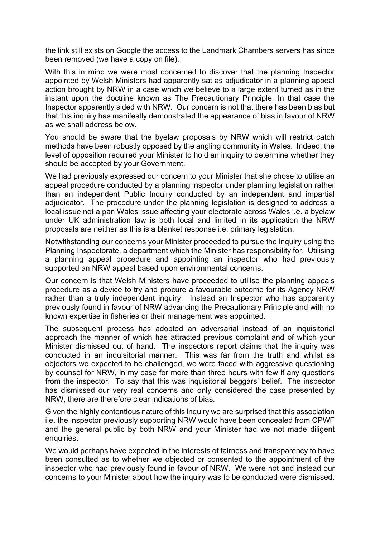the link still exists on Google the access to the Landmark Chambers servers has since been removed (we have a copy on file).

With this in mind we were most concerned to discover that the planning Inspector appointed by Welsh Ministers had apparently sat as adjudicator in a planning appeal action brought by NRW in a case which we believe to a large extent turned as in the instant upon the doctrine known as The Precautionary Principle. In that case the Inspector apparently sided with NRW. Our concern is not that there has been bias but that this inquiry has manifestly demonstrated the appearance of bias in favour of NRW as we shall address below.

You should be aware that the byelaw proposals by NRW which will restrict catch methods have been robustly opposed by the angling community in Wales. Indeed, the level of opposition required your Minister to hold an inquiry to determine whether they should be accepted by your Government.

We had previously expressed our concern to your Minister that she chose to utilise an appeal procedure conducted by a planning inspector under planning legislation rather than an independent Public Inquiry conducted by an independent and impartial adjudicator. The procedure under the planning legislation is designed to address a local issue not a pan Wales issue affecting your electorate across Wales i.e. a byelaw under UK administration law is both local and limited in its application the NRW proposals are neither as this is a blanket response i.e. primary legislation.

Notwithstanding our concerns your Minister proceeded to pursue the inquiry using the Planning Inspectorate, a department which the Minister has responsibility for. Utilising a planning appeal procedure and appointing an inspector who had previously supported an NRW appeal based upon environmental concerns.

Our concern is that Welsh Ministers have proceeded to utilise the planning appeals procedure as a device to try and procure a favourable outcome for its Agency NRW rather than a truly independent inquiry. Instead an Inspector who has apparently previously found in favour of NRW advancing the Precautionary Principle and with no known expertise in fisheries or their management was appointed.

The subsequent process has adopted an adversarial instead of an inquisitorial approach the manner of which has attracted previous complaint and of which your Minister dismissed out of hand. The inspectors report claims that the inquiry was conducted in an inquisitorial manner. This was far from the truth and whilst as objectors we expected to be challenged, we were faced with aggressive questioning by counsel for NRW, in my case for more than three hours with few if any questions from the inspector. To say that this was inquisitorial beggars' belief. The inspector has dismissed our very real concerns and only considered the case presented by NRW, there are therefore clear indications of bias.

Given the highly contentious nature of this inquiry we are surprised that this association i.e. the inspector previously supporting NRW would have been concealed from CPWF and the general public by both NRW and your Minister had we not made diligent enquiries.

We would perhaps have expected in the interests of fairness and transparency to have been consulted as to whether we objected or consented to the appointment of the inspector who had previously found in favour of NRW. We were not and instead our concerns to your Minister about how the inquiry was to be conducted were dismissed.